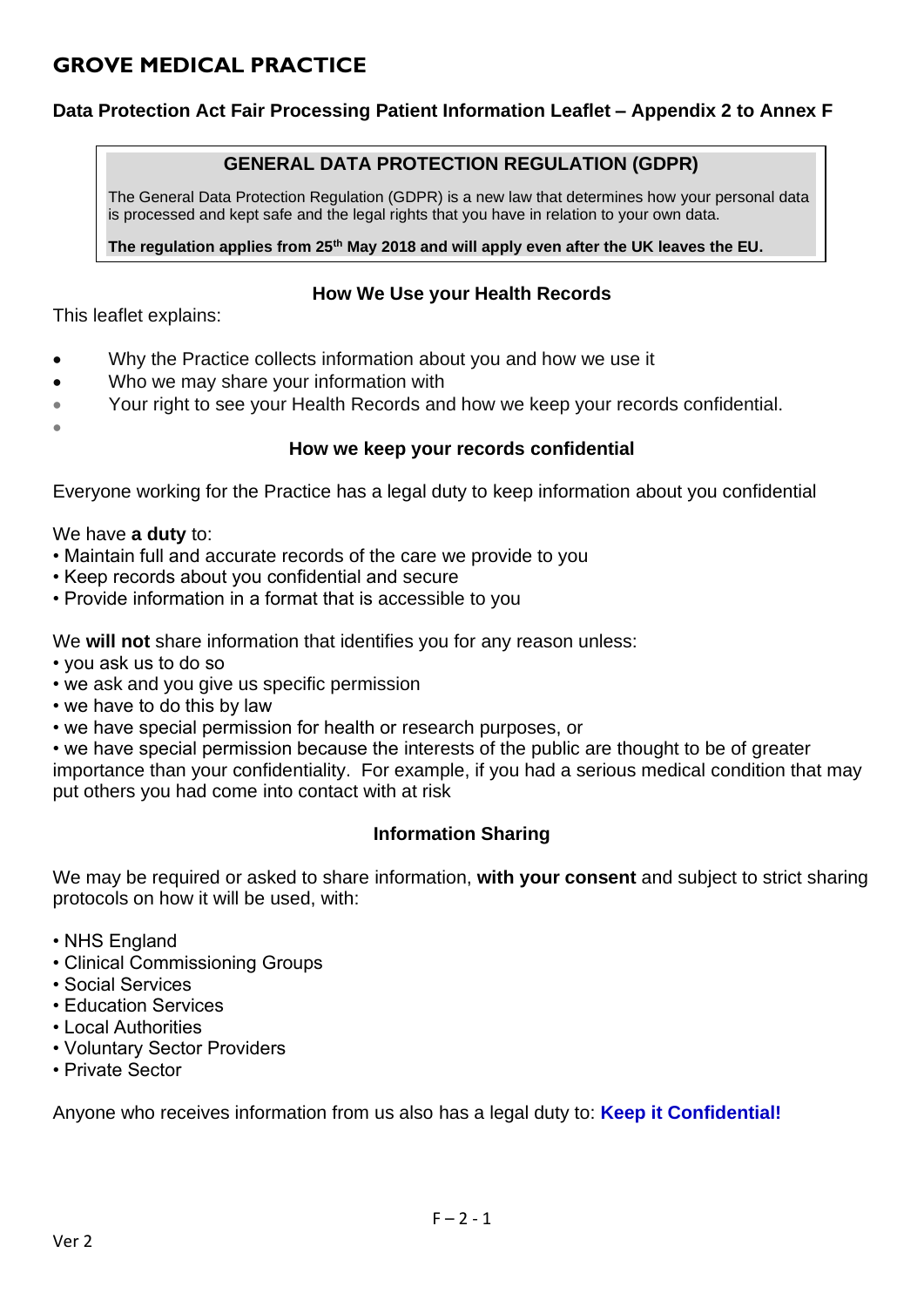# **GROVE MEDICAL PRACTICE**

# **Data Protection Act Fair Processing Patient Information Leaflet – Appendix 2 to Annex F**

# **GENERAL DATA PROTECTION REGULATION (GDPR)**

The General Data Protection Regulation (GDPR) is a new law that determines how your personal data is processed and kept safe and the legal rights that you have in relation to your own data.

**The regulation applies from 25th May 2018 and will apply even after the UK leaves the EU.**

#### **How We Use your Health Records**

This leaflet explains:

- Why the Practice collects information about you and how we use it
- Who we may share your information with
- Your right to see your Health Records and how we keep your records confidential.
- •

#### **How we keep your records confidential**

Everyone working for the Practice has a legal duty to keep information about you confidential

We have **a duty** to:

- Maintain full and accurate records of the care we provide to you
- Keep records about you confidential and secure
- Provide information in a format that is accessible to you

We **will not** share information that identifies you for any reason unless:

- you ask us to do so
- we ask and you give us specific permission
- we have to do this by law
- we have special permission for health or research purposes, or

• we have special permission because the interests of the public are thought to be of greater importance than your confidentiality. For example, if you had a serious medical condition that may put others you had come into contact with at risk

# **Information Sharing**

We may be required or asked to share information, **with your consent** and subject to strict sharing protocols on how it will be used, with:

- NHS England
- Clinical Commissioning Groups
- Social Services
- Education Services
- Local Authorities
- Voluntary Sector Providers
- Private Sector

Anyone who receives information from us also has a legal duty to: **Keep it Confidential!**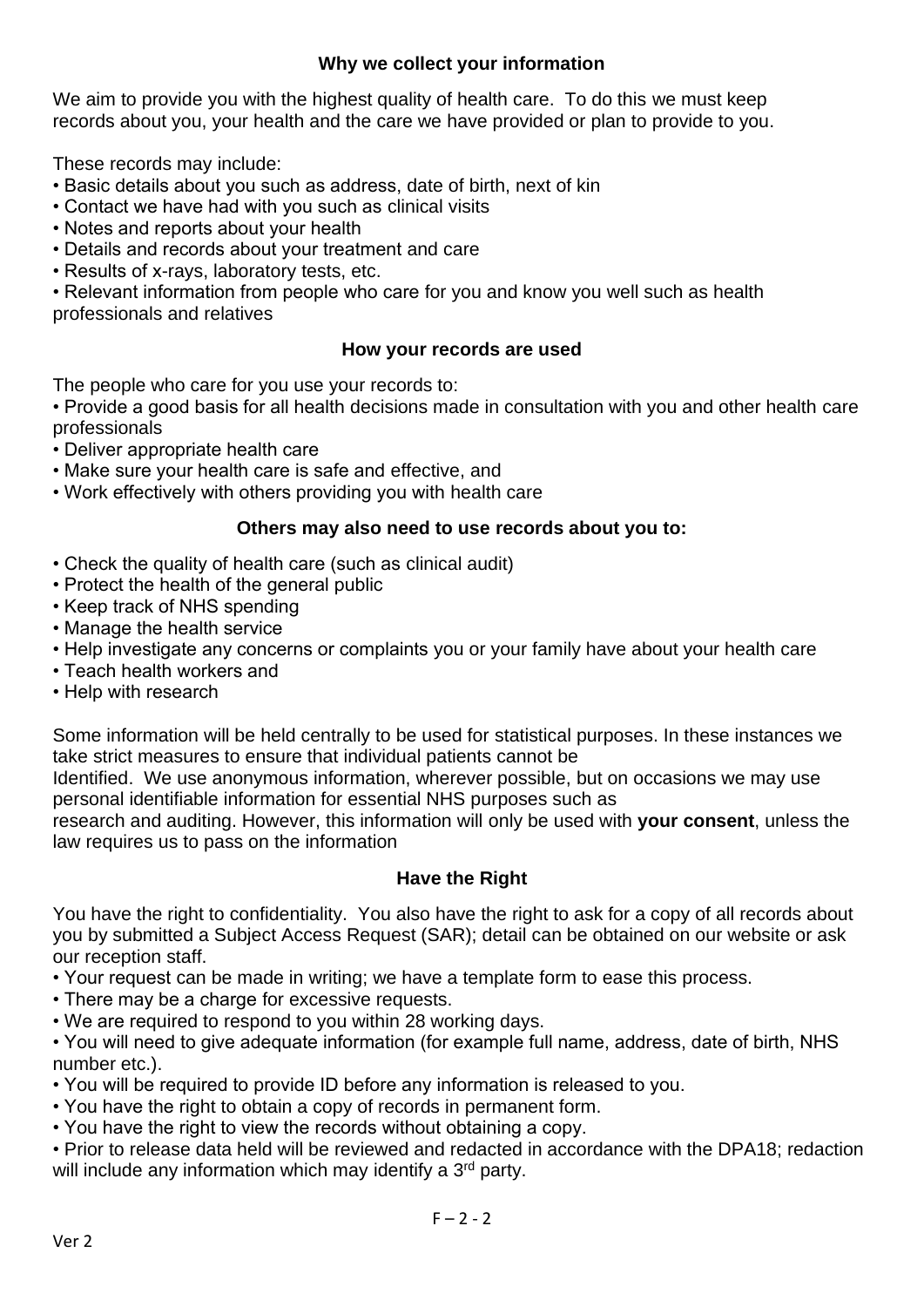# **Why we collect your information**

We aim to provide you with the highest quality of health care. To do this we must keep records about you, your health and the care we have provided or plan to provide to you.

These records may include:

- Basic details about you such as address, date of birth, next of kin
- Contact we have had with you such as clinical visits
- Notes and reports about your health
- Details and records about your treatment and care
- Results of x-rays, laboratory tests, etc.

• Relevant information from people who care for you and know you well such as health professionals and relatives

#### **How your records are used**

The people who care for you use your records to:

• Provide a good basis for all health decisions made in consultation with you and other health care professionals

- Deliver appropriate health care
- Make sure your health care is safe and effective, and
- Work effectively with others providing you with health care

#### **Others may also need to use records about you to:**

- Check the quality of health care (such as clinical audit)
- Protect the health of the general public
- Keep track of NHS spending
- Manage the health service
- Help investigate any concerns or complaints you or your family have about your health care
- Teach health workers and
- Help with research

Some information will be held centrally to be used for statistical purposes. In these instances we take strict measures to ensure that individual patients cannot be

Identified. We use anonymous information, wherever possible, but on occasions we may use personal identifiable information for essential NHS purposes such as

research and auditing. However, this information will only be used with **your consent**, unless the law requires us to pass on the information

# **Have the Right**

You have the right to confidentiality. You also have the right to ask for a copy of all records about you by submitted a Subject Access Request (SAR); detail can be obtained on our website or ask our reception staff.

- Your request can be made in writing; we have a template form to ease this process.
- There may be a charge for excessive requests.
- We are required to respond to you within 28 working days.

• You will need to give adequate information (for example full name, address, date of birth, NHS number etc.).

- You will be required to provide ID before any information is released to you.
- You have the right to obtain a copy of records in permanent form.
- You have the right to view the records without obtaining a copy.

• Prior to release data held will be reviewed and redacted in accordance with the DPA18; redaction will include any information which may identify a 3<sup>rd</sup> party.